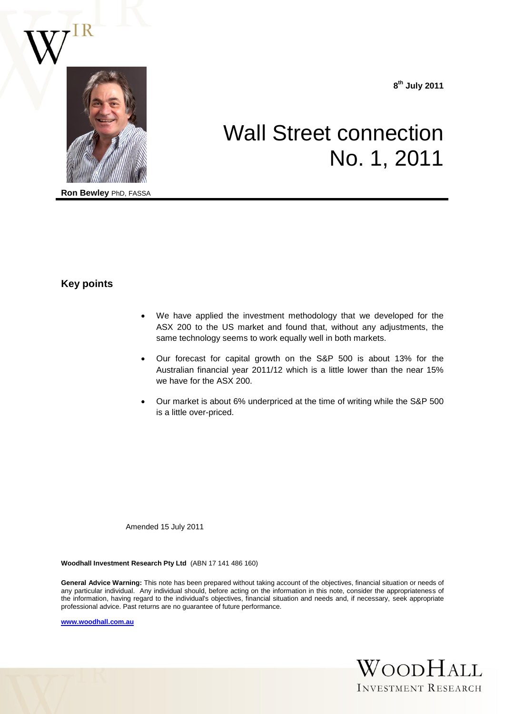

**Ron Bewley** PhD, FASSA

**8 th July 2011**

# Wall Street connection No. 1, 2011

# **Key points**

- We have applied the investment methodology that we developed for the ASX 200 to the US market and found that, without any adjustments, the same technology seems to work equally well in both markets.
- Our forecast for capital growth on the S&P 500 is about 13% for the Australian financial year 2011/12 which is a little lower than the near 15% we have for the ASX 200.
- Our market is about 6% underpriced at the time of writing while the S&P 500 is a little over-priced.

Amended 15 July 2011

**Woodhall Investment Research Pty Ltd** (ABN 17 141 486 160)

**General Advice Warning:** This note has been prepared without taking account of the objectives, financial situation or needs of any particular individual. Any individual should, before acting on the information in this note, consider the appropriateness of the information, having regard to the individual's objectives, financial situation and needs and, if necessary, seek appropriate professional advice. Past returns are no guarantee of future performance.

**[www.woodhall.com.au](http://www.woodhall.com.au/)**

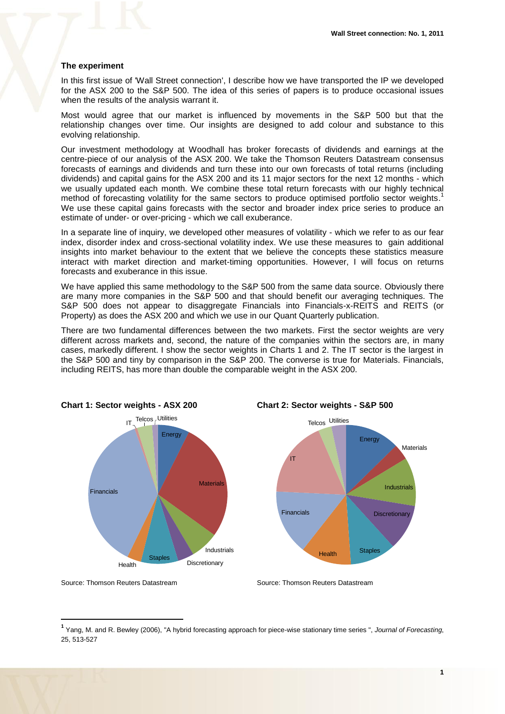### **The experiment**

In this first issue of 'Wall Street connection', I describe how we have transported the IP we developed for the ASX 200 to the S&P 500. The idea of this series of papers is to produce occasional issues when the results of the analysis warrant it.

Most would agree that our market is influenced by movements in the S&P 500 but that the relationship changes over time. Our insights are designed to add colour and substance to this evolving relationship.

Our investment methodology at Woodhall has broker forecasts of dividends and earnings at the centre-piece of our analysis of the ASX 200. We take the Thomson Reuters Datastream consensus forecasts of earnings and dividends and turn these into our own forecasts of total returns (including dividends) and capital gains for the ASX 200 and its 11 major sectors for the next 12 months - which we usually updated each month. We combine these total return forecasts with our highly technical method of forecasting volatility for the same sectors to produce optimised portfolio sector weights.<sup>1</sup> We use these capital gains forecasts with the sector and broader index price series to produce an estimate of under- or over-pricing - which we call exuberance.

In a separate line of inquiry, we developed other measures of volatility - which we refer to as our fear index, disorder index and cross-sectional volatility index. We use these measures to gain additional insights into market behaviour to the extent that we believe the concepts these statistics measure interact with market direction and market-timing opportunities. However, I will focus on returns forecasts and exuberance in this issue.

We have applied this same methodology to the S&P 500 from the same data source. Obviously there are many more companies in the S&P 500 and that should benefit our averaging techniques. The S&P 500 does not appear to disaggregate Financials into Financials-x-REITS and REITS (or Property) as does the ASX 200 and which we use in our Quant Quarterly publication.

There are two fundamental differences between the two markets. First the sector weights are very different across markets and, second, the nature of the companies within the sectors are, in many cases, markedly different. I show the sector weights in Charts 1 and 2. The IT sector is the largest in the S&P 500 and tiny by comparison in the S&P 200. The converse is true for Materials. Financials, including REITS, has more than double the comparable weight in the ASX 200.







Source: Thomson Reuters Datastream Source: Thomson Reuters Datastream

1

**<sup>1</sup>** Yang, M. and R. Bewley (2006), "A hybrid forecasting approach for piece-wise stationary time series ", *Journal of Forecasting*, 25, 513-527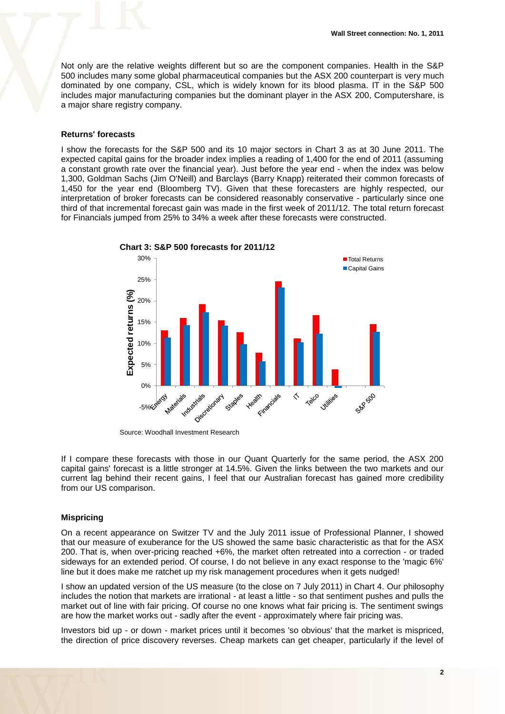Not only are the relative weights different but so are the component companies. Health in the S&P 500 includes many some global pharmaceutical companies but the ASX 200 counterpart is very much dominated by one company, CSL, which is widely known for its blood plasma. IT in the S&P 500 includes major manufacturing companies but the dominant player in the ASX 200, Computershare, is a major share registry company.

## **Returns' forecasts**

I show the forecasts for the S&P 500 and its 10 major sectors in Chart 3 as at 30 June 2011. The expected capital gains for the broader index implies a reading of 1,400 for the end of 2011 (assuming a constant growth rate over the financial year). Just before the year end - when the index was below 1,300, Goldman Sachs (Jim O'Neill) and Barclays (Barry Knapp) reiterated their common forecasts of 1,450 for the year end (Bloomberg TV). Given that these forecasters are highly respected, our interpretation of broker forecasts can be considered reasonably conservative - particularly since one third of that incremental forecast gain was made in the first week of 2011/12. The total return forecast for Financials jumped from 25% to 34% a week after these forecasts were constructed.



Source: Woodhall Investment Research

If I compare these forecasts with those in our Quant Quarterly for the same period, the ASX 200 capital gains' forecast is a little stronger at 14.5%. Given the links between the two markets and our current lag behind their recent gains, I feel that our Australian forecast has gained more credibility from our US comparison.

### **Mispricing**

On a recent appearance on Switzer TV and the July 2011 issue of Professional Planner, I showed that our measure of exuberance for the US showed the same basic characteristic as that for the ASX 200. That is, when over-pricing reached +6%, the market often retreated into a correction - or traded sideways for an extended period. Of course, I do not believe in any exact response to the 'magic 6%' line but it does make me ratchet up my risk management procedures when it gets nudged!

I show an updated version of the US measure (to the close on 7 July 2011) in Chart 4. Our philosophy includes the notion that markets are irrational - at least a little - so that sentiment pushes and pulls the market out of line with fair pricing. Of course no one knows what fair pricing is. The sentiment swings are how the market works out - sadly after the event - approximately where fair pricing was.

Investors bid up - or down - market prices until it becomes 'so obvious' that the market is mispriced, the direction of price discovery reverses. Cheap markets can get cheaper, particularly if the level of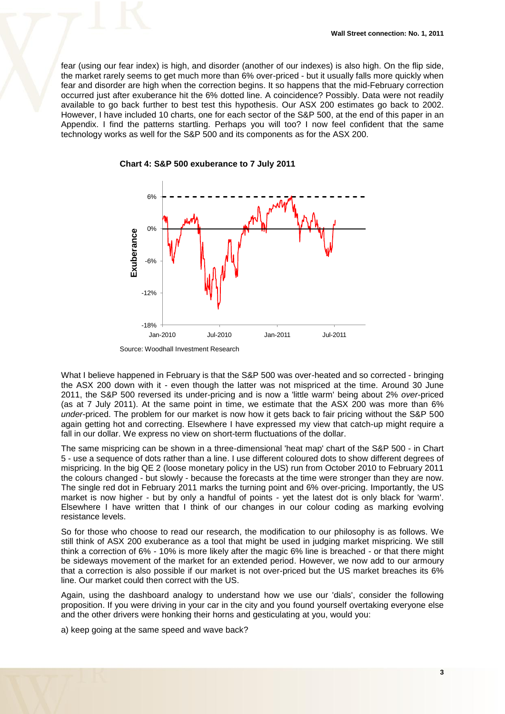fear (using our fear index) is high, and disorder (another of our indexes) is also high. On the flip side, the market rarely seems to get much more than 6% over-priced - but it usually falls more quickly when fear and disorder are high when the correction begins. It so happens that the mid-February correction occurred just after exuberance hit the 6% dotted line. A coincidence? Possibly. Data were not readily available to go back further to best test this hypothesis. Our ASX 200 estimates go back to 2002. However, I have included 10 charts, one for each sector of the S&P 500, at the end of this paper in an Appendix. I find the patterns startling. Perhaps you will too? I now feel confident that the same technology works as well for the S&P 500 and its components as for the ASX 200.

**Chart 4: S&P 500 exuberance to 7 July 2011**



Source: Woodhall Investment Research

What I believe happened in February is that the S&P 500 was over-heated and so corrected - bringing the ASX 200 down with it - even though the latter was not mispriced at the time. Around 30 June 2011, the S&P 500 reversed its under-pricing and is now a 'little warm' being about 2% *over*-priced (as at 7 July 2011). At the same point in time, we estimate that the ASX 200 was more than 6% *under*-priced. The problem for our market is now how it gets back to fair pricing without the S&P 500 again getting hot and correcting. Elsewhere I have expressed my view that catch-up might require a fall in our dollar. We express no view on short-term fluctuations of the dollar.

The same mispricing can be shown in a three-dimensional 'heat map' chart of the S&P 500 - in Chart 5 - use a sequence of dots rather than a line. I use different coloured dots to show different degrees of mispricing. In the big QE 2 (loose monetary policy in the US) run from October 2010 to February 2011 the colours changed - but slowly - because the forecasts at the time were stronger than they are now. The single red dot in February 2011 marks the turning point and 6% over-pricing. Importantly, the US market is now higher - but by only a handful of points - yet the latest dot is only black for 'warm'. Elsewhere I have written that I think of our changes in our colour coding as marking evolving resistance levels.

So for those who choose to read our research, the modification to our philosophy is as follows. We still think of ASX 200 exuberance as a tool that might be used in judging market mispricing. We still think a correction of 6% - 10% is more likely after the magic 6% line is breached - or that there might be sideways movement of the market for an extended period. However, we now add to our armoury that a correction is also possible if our market is not over-priced but the US market breaches its 6% line. Our market could then correct with the US.

Again, using the dashboard analogy to understand how we use our 'dials', consider the following proposition. If you were driving in your car in the city and you found yourself overtaking everyone else and the other drivers were honking their horns and gesticulating at you, would you:

a) keep going at the same speed and wave back?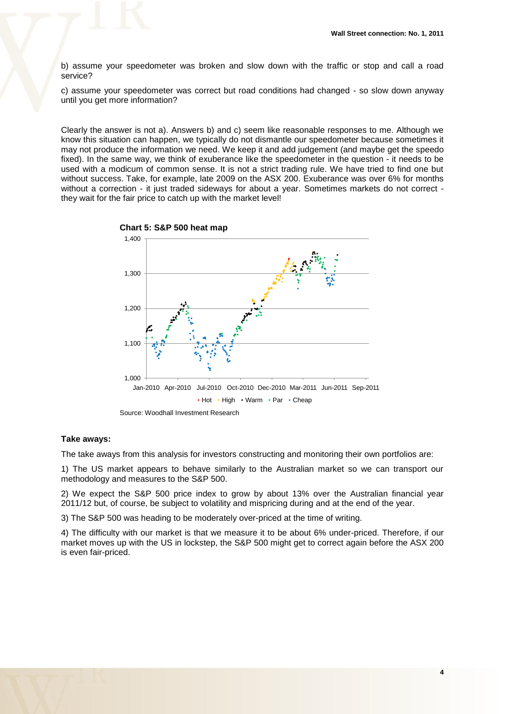b) assume your speedometer was broken and slow down with the traffic or stop and call a road service?

c) assume your speedometer was correct but road conditions had changed - so slow down anyway until you get more information?

Clearly the answer is not a). Answers b) and c) seem like reasonable responses to me. Although we know this situation can happen, we typically do not dismantle our speedometer because sometimes it may not produce the information we need. We keep it and add judgement (and maybe get the speedo fixed). In the same way, we think of exuberance like the speedometer in the question - it needs to be used with a modicum of common sense. It is not a strict trading rule. We have tried to find one but without success. Take, for example, late 2009 on the ASX 200. Exuberance was over 6% for months without a correction - it just traded sideways for about a year. Sometimes markets do not correct they wait for the fair price to catch up with the market level!



### **Take aways:**

The take aways from this analysis for investors constructing and monitoring their own portfolios are:

1) The US market appears to behave similarly to the Australian market so we can transport our methodology and measures to the S&P 500.

2) We expect the S&P 500 price index to grow by about 13% over the Australian financial year 2011/12 but, of course, be subject to volatility and mispricing during and at the end of the year.

3) The S&P 500 was heading to be moderately over-priced at the time of writing.

4) The difficulty with our market is that we measure it to be about 6% under-priced. Therefore, if our market moves up with the US in lockstep, the S&P 500 might get to correct again before the ASX 200 is even fair-priced.

**4**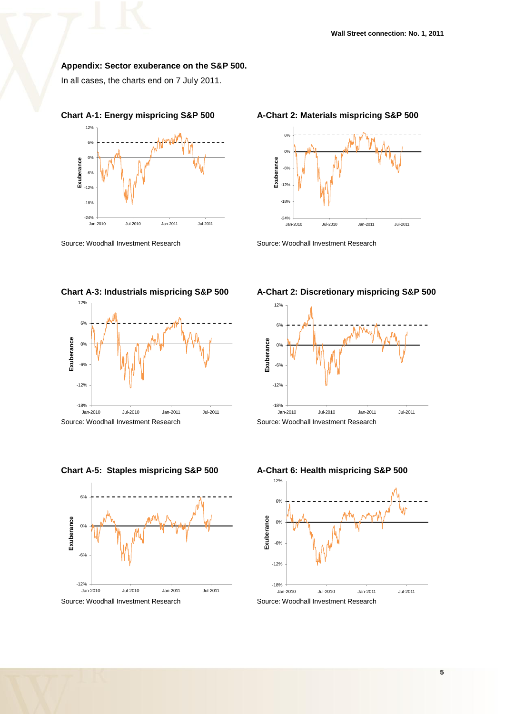# **Appendix: Sector exuberance on the S&P 500.**

In all cases, the charts end on 7 July 2011.





# **Chart A-1: Energy mispricing S&P 500 A-Chart 2: Materials mispricing S&P 500**



-12%

-6%

0%

6%

12%

# **Chart A-3: Industrials mispricing S&P 500 A-Chart 2: Discretionary mispricing S&P 500**







### **Chart A-5: Staples mispricing S&P 500 A-Chart 6: Health mispricing S&P 500**

-18%<br>Jan-2010 **Example 1996**<br> **Jan-2010** Jul-2010 Jul-2010 Jan-2011 Jul-2011<br>
Jul-2010 Jul-2010 Jan-2011 Jul-2011 Source: Woodhall Investment Research Source: Woodhall Investment Research